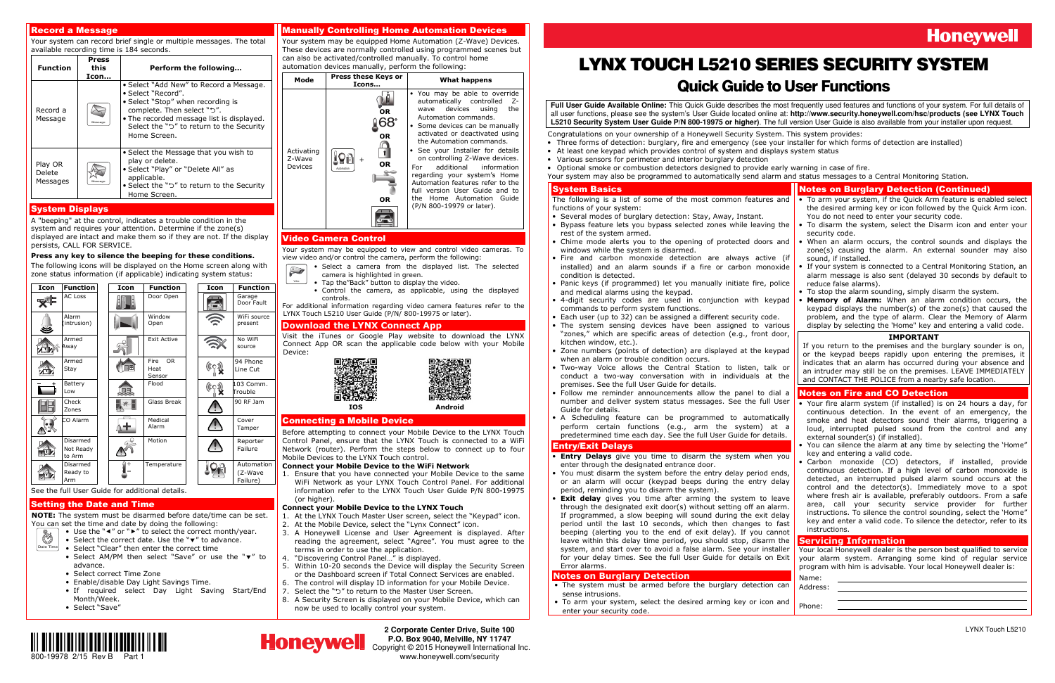

**2 Corporate Center Drive, Suite 100 P.O. Box 9040, Melville, NY 11747**  Copyright © 2015 Honeywell International Inc.www.honeywell.com/security

# **Honeywell**

### Record a Message

 Your system can record brief single or multiple messages. The total available recording time is 184 seconds.

| <b>Function</b>               | Press<br>this<br>Icon | Perform the following                                                                                                                                                                                                                     |
|-------------------------------|-----------------------|-------------------------------------------------------------------------------------------------------------------------------------------------------------------------------------------------------------------------------------------|
| Record a<br>Message           | Messag                | • Select "Add New" to Record a Message.<br>• Select "Record".<br>• Select "Stop" when recording is<br>complete. Then select "5".<br>. The recorded message list is displayed.<br>Select the "ל" to return to the Security<br>Home Screen. |
| Play OR<br>Delete<br>Messages |                       | • Select the Message that you wish to<br>play or delete.<br>• Select "Play" or "Delete All" as<br>applicable.<br>• Select the "5" to return to the Security<br>Home Screen.                                                               |

### System Displays

 A "beeping" at the control, indicates a trouble condition in the system and requires your attention. Determine if the zone(s) displayed are intact and make them so if they are not. If the display persists, CALL FOR SERVICE.

### **Press any key to silence the beeping for these conditions.**

- Use the "◀" or "▶" to select the correct month/year.
- Date Time• Select the correct date. Use the "▼" to advance.
	- Select "Clear" then enter the correct time
	- Select AM/PM then select "Save" or use the "▼" to advance.
	- Select correct Time Zone
	- Enable/disable Day Light Savings Time.
	- If required select Day Light Saving Start/End Month/Week.
	- Select "Save"

 The following icons will be displayed on the Home screen along with zone status information (if applicable) indicating system status:

| Icon | <b>Function</b>                 | Icon     | <b>Function</b>                            | Icon        | <b>Function</b>                   |
|------|---------------------------------|----------|--------------------------------------------|-------------|-----------------------------------|
|      | <b>AC Loss</b>                  |          | Door Open                                  | <b>SHIP</b> | Garage<br>Door Fault              |
|      | Alarm<br>(intrusion)            |          | Window<br>Open                             |             | WiFi source<br>present            |
|      | Armed<br>Away                   |          | <b>Exit Active</b>                         |             | No WiFi<br>source                 |
|      | Armed<br>Stay                   |          | <b>Fire</b><br><b>OR</b><br>Heat<br>Sensor | ((Cq        | 94 Phone<br>Line Cut              |
|      | Battery<br>Low                  |          | Flood                                      | (Co         | 103 Comm.<br>Trouble              |
|      | Check<br>Zones                  |          | Glass Break                                |             | 90 RF Jam                         |
|      | CO Alarm                        |          | Medical<br>Alarm                           |             | Cover<br>Tamper                   |
|      | Disarmed<br>Not Ready<br>to Arm |          | Motion                                     |             | Reporter<br>Failure               |
|      | Disarmed<br>Ready to<br>Arm     |          | Temperature                                |             | Automation<br>(Z-Wave<br>Failure) |
|      | $\sim$ $\sim$                   | $\cdots$ | .                                          |             |                                   |

 For additional information regarding video camera features refer to the LYNX Touch L5210 User Guide (P/N/ 800-19975 or later).

### See the full User Guide for additional details.

### Setting the Date and Time

 **NOTE:** The system must be disarmed before date/time can be set. You can set the time and date by doing the following:

 1. Ensure that you have connected your Mobile Device to the same WiFi Network as your LYNX Touch Control Panel. For additional information refer to the LYNX Touch User Guide P/N 800-19975 (or higher).

### Manually Controlling Home Automation Devices

 Your system may be equipped Home Automation (Z-Wave) Devices. These devices are normally controlled using programmed scenes but can also be activated/controlled manually. To control home automation devices manually, perform the following:



- Several modes of burglary detection: Stay, Away, Instant.
- Bypass feature lets you bypass selected zones while leaving the rest of the system armed.
- Chime mode alerts you to the opening of protected doors and windows while the system is disarmed.
- Fire and carbon monoxide detection are always active (if installed) and an alarm sounds if a fire or carbon monox condition is detected.
- Panic keys (if programmed) let you manually initiate fire, police and medical alarms using the keypad.
- 4-digit security codes are used in conjunction with keypad commands to perform system functions.
- Each user (up to 32) can be assigned a different security code.
- The system sensing devices have been assigned to vari "zones," which are specific areas of detection (e.g., front do kitchen window, etc.).
- Zone numbers (points of detection) are displayed at the keypad when an alarm or trouble condition occurs.
- Two-way Voice allows the Central Station to listen, talk or  $\frac{1}{2}$  conduct a two-way conversation with in individuals at premises. See the full User Guide for details.
- Follow me reminder announcements allow the panel to dial a •number and deliver system status messages. See the full U Guide for details.
- A Scheduling feature can be programmed to automatically perform certain functions (e.g., arm the system) at predetermined time each day. See the full User Guide for deta

### Video Camera Control

 Your system may be equipped to view and control video cameras. To view video and/or control the camera, perform the following:

Video

- Select a camera from the displayed list. The selected  $\sum$ camera is highlighted in green.
	- Tap the"Back" button to display the video.
	- Control the camera, as applicable, using the displayed controls.

### **Download the LYNX Connect App**

 Visit the iTunes or Google Play website to download the LYNX Connect App OR scan the applicable code below with your Mobile Device:



### Connecting a Mobile Device

Before attempting to connect your Mobile Device to the LYNX Touch Control Panel, ensure that the LYNX Touch is connected to a WiFi Network (router). Perform the steps below to connect up to four Mobile Devices to the LYNX Touch control.

### **Connect your Mobile Device to the WiFi Network**

### **Connect your Mobile Device to the LYNX Touch**

- 1. At the LYNX Touch Master User screen, select the "Keypad" icon.
- 2. At the Mobile Device, select the "Lynx Connect" icon.
- 3. A Honeywell License and User Agreement is displayed. After reading the agreement, select "Agree". You must agree to the terms in order to use the application.
- 4. "Discovering Control Panel…" is displayed.
- 5. Within 10-20 seconds the Device will display the Security Screen or the Dashboard screen if Total Connect Services are enabled.
- 6. The control will display ID information for your Mobile Device.
- 7. Select the "" to return to the Master User Screen.
- 8. A Security Screen is displayed on your Mobile Device, which can now be used to locally control your system.

# LYNX TOUCH L5210 SERIES SECURITY SYSTEM

## Quick Guide to User Functions

**Full User Guide Available Online:** This Quick Guide describes the most frequently used features and functions of your system. For full details of all user functions, please see the system's User Guide located online at: **http://www.security.honeywell.com/hsc/products (see LYNX Touch L5210 Security System User Guide P/N 800-19975 or higher)**. The full version User Guide is also available from your installer upon request.

Congratulations on your ownership of a Honeywell Security System. This system provides:

- Three forms of detection: burglary, fire and emergency (see your installer for which forms of detection are installed)
- At least one keypad which provides control of system and displays system status
- Various sensors for perimeter and interior burglary detection
- Optional smoke or combustion detectors designed to provide early warning in case of fire. Your system may also be programmed to automatically send alarm and status messages to a Central Monitoring Station.

### System Basics

 The following is a list of some of the most common features and functions of your system:

### Entry/Exit Delays

- **Entry Delays** give you time to disarm the system when you enter through the designated entrance door.
- You must disarm the system before the entry delay period ends, or an alarm will occur (keypad beeps during the entry de period, reminding you to disarm the system).
- **Exit delay** gives you time after arming the system to leave •through the designated exit door(s) without setting off an ala If programmed, a slow beeping will sound during the exit de period until the last  $10$  seconds, which then changes to beeping (alerting you to the end of exit delay). If you can leave within this delay time period, you should stop, disarm system, and start over to avoid a false alarm. See your install for your delay times. See the full User Guide for details on Error alarms.

### **Notes on Burglary Detection**

- The system must be armed before the burglary detection can sense intrusions.
- To arm your system, select the desired arming key or icon and enter your security code.



|               | <b>Notes on Burglary Detection (Continued)</b>                                                                                           |
|---------------|------------------------------------------------------------------------------------------------------------------------------------------|
| and           | • To arm your system, if the Quick Arm feature is enabled select<br>the desired arming key or icon followed by the Quick Arm icon.       |
|               | You do not need to enter your security code.                                                                                             |
| the           | To disarm the system, select the Disarm icon and enter your<br>$\bullet$<br>security code.                                               |
| and           | • When an alarm occurs, the control sounds and displays the<br>zone(s) causing the alarm. An external sounder may also                   |
| (if<br>xide   | sound, if installed.<br>• If your system is connected to a Central Monitoring Station, an                                                |
|               | alarm message is also sent (delayed 30 seconds by default to                                                                             |
| blice         | reduce false alarms).<br>To stop the alarm sounding, simply disarm the system.                                                           |
| 'pad          | <b>Memory of Alarm:</b> When an alarm condition occurs, the<br>٠<br>keypad displays the number(s) of the zone(s) that caused the         |
|               | problem, and the type of alarm. Clear the Memory of Alarm                                                                                |
| ious<br>oor,  | display by selecting the 'Home" key and entering a valid code.<br><b>IMPORTANT</b>                                                       |
|               | If you return to the premises and the burglary sounder is on,                                                                            |
| 'pad          | or the keypad beeps rapidly upon entering the premises, it<br>indicates that an alarm has occurred during your absence and               |
| or<br>the     | an intruder may still be on the premises. LEAVE IMMEDIATELY                                                                              |
|               | and CONTACT THE POLICE from a nearby safe location.                                                                                      |
| al a<br>Jser  | <b>Notes on Fire and CO Detection</b><br>• Your fire alarm system (if installed) is on 24 hours a day, for                               |
| cally         | continuous detection. In the event of an emergency, the                                                                                  |
| a             | smoke and heat detectors sound their alarms, triggering a<br>loud, interrupted pulsed sound from the control and any                     |
| ıils.         | external sounder(s) (if installed).<br>You can silence the alarm at any time by selecting the 'Home"                                     |
| you           | key and entering a valid code.                                                                                                           |
| nds,          | monoxide (CO) detectors, if installed, provide<br>Carbon<br>continuous detection. If a high level of carbon monoxide is                  |
| elay          | detected, an interrupted pulsed alarm sound occurs at the<br>control and the detector(s). Immediately move to a spot                     |
| ave           | where fresh air is available, preferably outdoors. From a safe                                                                           |
| ırm.<br>elay  | security<br>service provider for<br>area,<br>call<br>your<br>further<br>instructions. To silence the control sounding, select the 'Home" |
| fast          | key and enter a valid code. To silence the detector, refer to its<br>instructions.                                                       |
| าnot<br>the   | <b>Servicing Information</b>                                                                                                             |
| aller<br>Exit | Your local Honeywell dealer is the person best qualified to service                                                                      |
|               | your alarm system. Arranging some kind of regular service<br>program with him is advisable. Your local Honeywell dealer is:              |
|               | Name:                                                                                                                                    |
| can           | Address:                                                                                                                                 |
| and           | Phone:                                                                                                                                   |